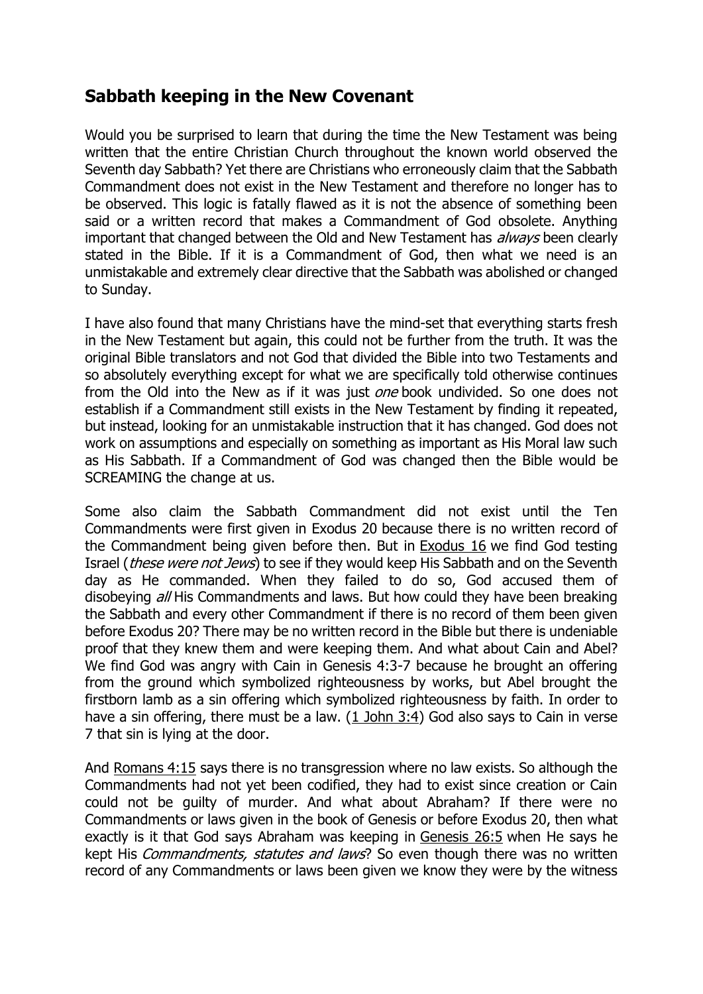# **Sabbath keeping in the New Covenant**

Would you be surprised to learn that during the time the New Testament was being written that the entire Christian Church throughout the known world observed the Seventh day Sabbath? Yet there are Christians who erroneously claim that the Sabbath Commandment does not exist in the New Testament and therefore no longer has to be observed. This logic is fatally flawed as it is not the absence of something been said or a written record that makes a Commandment of God obsolete. Anything important that changed between the Old and New Testament has *always* been clearly stated in the Bible. If it is a Commandment of God, then what we need is an unmistakable and extremely clear directive that the Sabbath was abolished or changed to Sunday.

I have also found that many Christians have the mind-set that everything starts fresh in the New Testament but again, this could not be further from the truth. It was the original Bible translators and not God that divided the Bible into two Testaments and so absolutely everything except for what we are specifically told otherwise continues from the Old into the New as if it was just one book undivided. So one does not establish if a Commandment still exists in the New Testament by finding it repeated, but instead, looking for an unmistakable instruction that it has changed. God does not work on assumptions and especially on something as important as His Moral law such as His Sabbath. If a Commandment of God was changed then the Bible would be SCREAMING the change at us.

Some also claim the Sabbath Commandment did not exist until the Ten Commandments were first given in Exodus 20 because there is no written record of the Commandment being given before then. But in Exodus 16 we find God testing Israel (these were not Jews) to see if they would keep His Sabbath and on the Seventh day as He commanded. When they failed to do so, God accused them of disobeying *all* His Commandments and laws. But how could they have been breaking the Sabbath and every other Commandment if there is no record of them been given before Exodus 20? There may be no written record in the Bible but there is undeniable proof that they knew them and were keeping them. And what about Cain and Abel? We find God was angry with Cain in Genesis 4:3-7 because he brought an offering from the ground which symbolized righteousness by works, but Abel brought the firstborn lamb as a sin offering which symbolized righteousness by faith. In order to have a sin offering, there must be a law. [\(1 John 3:4\)](http://www.newtestamentsabbath.com/#1) God also says to Cain in verse 7 that sin is lying at the door.

And [Romans 4:15](http://www.newtestamentsabbath.com/#1) says there is no transgression where no law exists. So although the Commandments had not yet been codified, they had to exist since creation or Cain could not be guilty of murder. And what about Abraham? If there were no Commandments or laws given in the book of Genesis or before Exodus 20, then what exactly is it that God says Abraham was keeping in [Genesis 26:5](http://www.newtestamentsabbath.com/#1) when He says he kept His *Commandments, statutes and laws*? So even though there was no written record of any Commandments or laws been given we know they were by the witness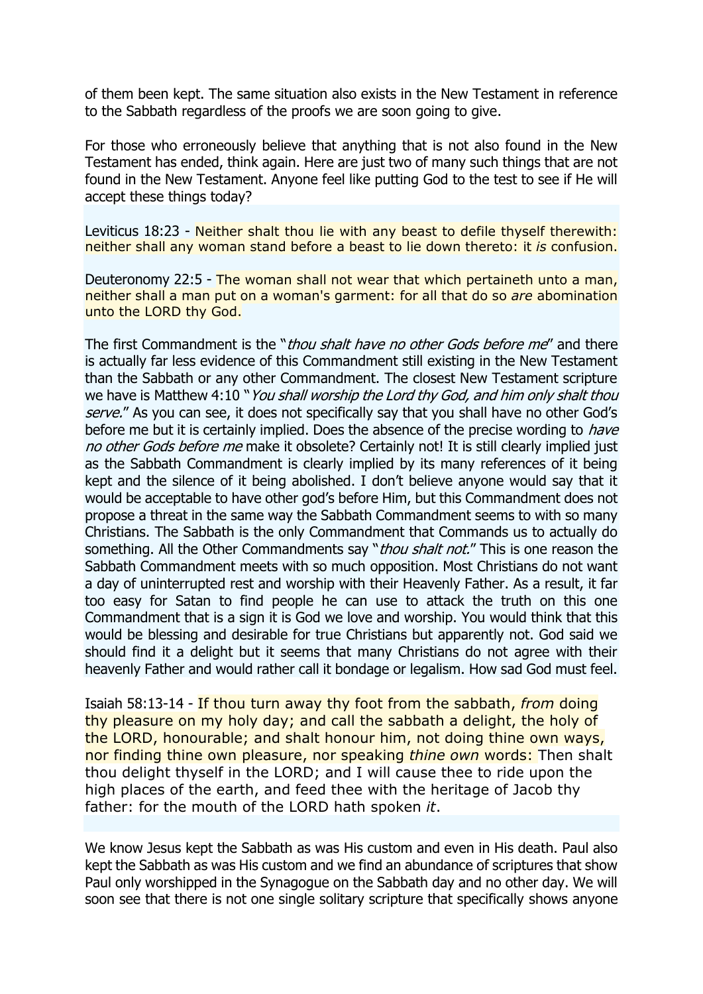of them been kept. The same situation also exists in the New Testament in reference to the Sabbath regardless of the proofs we are soon going to give.

For those who erroneously believe that anything that is not also found in the New Testament has ended, think again. Here are just two of many such things that are not found in the New Testament. Anyone feel like putting God to the test to see if He will accept these things today?

Leviticus 18:23 - Neither shalt thou lie with any beast to defile thyself therewith: neither shall any woman stand before a beast to lie down thereto: it *is* confusion.

Deuteronomy 22:5 - The woman shall not wear that which pertaineth unto a man, neither shall a man put on a woman's garment: for all that do so *are* abomination unto the LORD thy God.

The first Commandment is the "*thou shalt have no other Gods before me*" and there is actually far less evidence of this Commandment still existing in the New Testament than the Sabbath or any other Commandment. The closest New Testament scripture we have is Matthew 4:10 "*You shall worship the Lord thy God, and him only shalt thou* serve." As you can see, it does not specifically say that you shall have no other God's before me but it is certainly implied. Does the absence of the precise wording to *have* no other Gods before me make it obsolete? Certainly not! It is still clearly implied just as the Sabbath Commandment is clearly implied by its many references of it being kept and the silence of it being abolished. I don't believe anyone would say that it would be acceptable to have other god's before Him, but this Commandment does not propose a threat in the same way the Sabbath Commandment seems to with so many Christians. The Sabbath is the only Commandment that Commands us to actually do something. All the Other Commandments say "*thou shalt not.*" This is one reason the Sabbath Commandment meets with so much opposition. Most Christians do not want a day of uninterrupted rest and worship with their Heavenly Father. As a result, it far too easy for Satan to find people he can use to attack the truth on this one Commandment that is a sign it is God we love and worship. You would think that this would be blessing and desirable for true Christians but apparently not. God said we should find it a delight but it seems that many Christians do not agree with their heavenly Father and would rather call it bondage or legalism. How sad God must feel.

Isaiah 58:13-14 - If thou turn away thy foot from the sabbath, *from* doing thy pleasure on my holy day; and call the sabbath a delight, the holy of the LORD, honourable; and shalt honour him, not doing thine own ways, nor finding thine own pleasure, nor speaking *thine own* words: Then shalt thou delight thyself in the LORD; and I will cause thee to ride upon the high places of the earth, and feed thee with the heritage of Jacob thy father: for the mouth of the LORD hath spoken *it*.

We know Jesus kept the Sabbath as was His custom and even in His death. Paul also kept the Sabbath as was His custom and we find an abundance of scriptures that show Paul only worshipped in the Synagogue on the Sabbath day and no other day. We will soon see that there is not one single solitary scripture that specifically shows anyone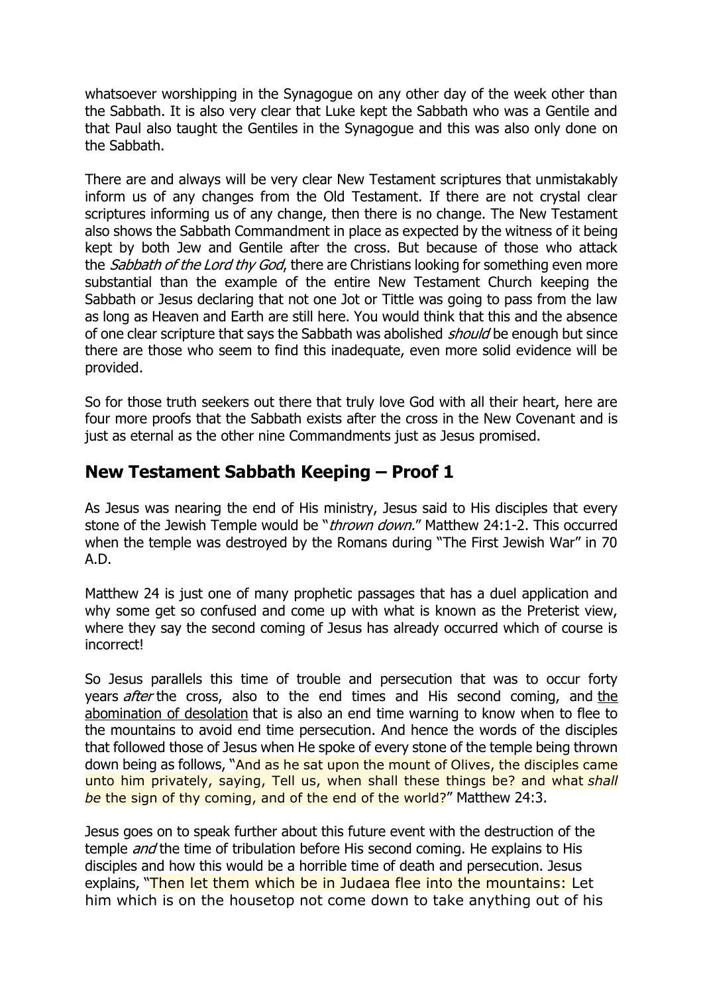whatsoever worshipping in the Synagogue on any other day of the week other than the Sabbath. It is also very clear that Luke kept the Sabbath who was a Gentile and that Paul also taught the Gentiles in the Synagogue and this was also only done on the Sabbath.

There are and always will be very clear New Testament scriptures that unmistakably inform us of any changes from the Old Testament. If there are not crystal clear scriptures informing us of any change, then there is no change. The New Testament also shows the Sabbath Commandment in place as expected by the witness of it being kept by both Jew and Gentile after the cross. But because of those who attack the *Sabbath of the Lord thy God*, there are Christians looking for something even more substantial than the example of the entire New Testament Church keeping the Sabbath or Jesus declaring that not one Jot or Tittle was going to pass from the law as long as Heaven and Earth are still here. You would think that this and the absence of one clear scripture that says the Sabbath was abolished *should* be enough but since there are those who seem to find this inadequate, even more solid evidence will be provided.

So for those truth seekers out there that truly love God with all their heart, here are four more proofs that the Sabbath exists after the cross in the New Covenant and is just as eternal as the other nine Commandments just as Jesus promised.

### **New Testament Sabbath Keeping – Proof 1**

As Jesus was nearing the end of His ministry, Jesus said to His disciples that every stone of the Jewish Temple would be "*thrown down.*" Matthew 24:1-2. This occurred when the temple was destroyed by the Romans during "The First Jewish War" in 70 A.D.

Matthew 24 is just one of many prophetic passages that has a duel application and why some get so confused and come up with what is known as the Preterist view, where they say the second coming of Jesus has already occurred which of course is incorrect!

So Jesus parallels this time of trouble and persecution that was to occur forty years *after* [the](http://www.abomination-of-desolation.com/) cross, also to the end times and His second coming, and the [abomination of desolation](http://www.abomination-of-desolation.com/) that is also an end time warning to know when to flee to the mountains to avoid end time persecution. And hence the words of the disciples that followed those of Jesus when He spoke of every stone of the temple being thrown down being as follows, "And as he sat upon the mount of Olives, the disciples came unto him privately, saying, Tell us, when shall these things be? and what *shall be* the sign of thy coming, and of the end of the world?" Matthew 24:3.

Jesus goes on to speak further about this future event with the destruction of the temple *and* the time of tribulation before His second coming. He explains to His disciples and how this would be a horrible time of death and persecution. Jesus explains, "Then let them which be in Judaea flee into the mountains: Let him which is on the housetop not come down to take anything out of his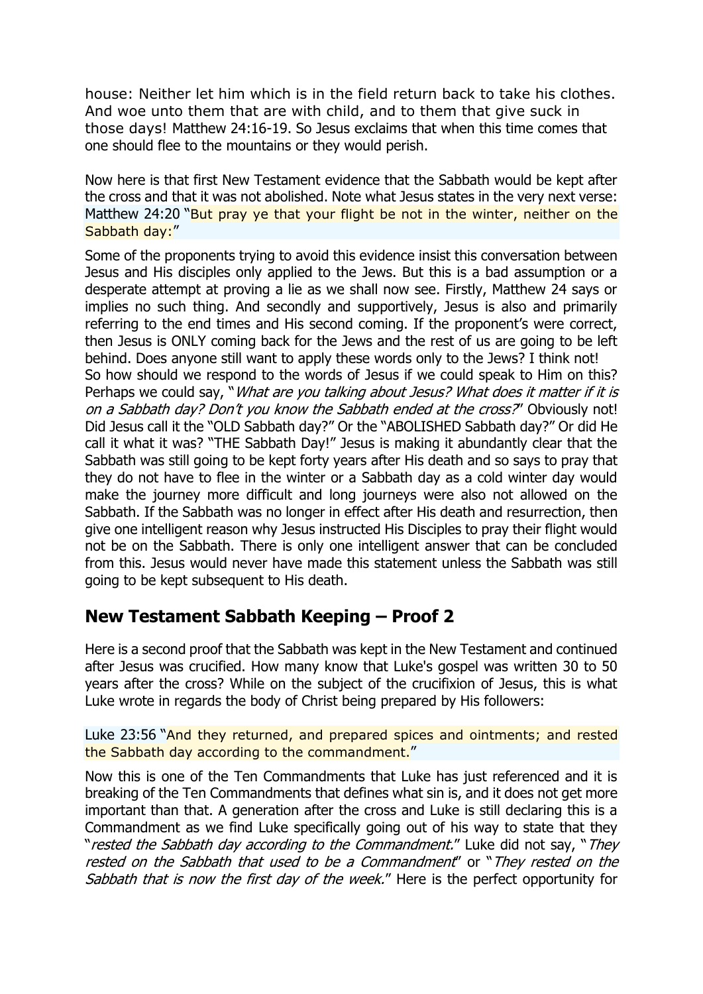house: Neither let him which is in the field return back to take his clothes. And woe unto them that are with child, and to them that give suck in those days! Matthew 24:16-19. So Jesus exclaims that when this time comes that one should flee to the mountains or they would perish.

Now here is that first New Testament evidence that the Sabbath would be kept after the cross and that it was not abolished. Note what Jesus states in the very next verse: Matthew 24:20 "But pray ye that your flight be not in the winter, neither on the Sabbath day:"

Some of the proponents trying to avoid this evidence insist this conversation between Jesus and His disciples only applied to the Jews. But this is a bad assumption or a desperate attempt at proving a lie as we shall now see. Firstly, Matthew 24 says or implies no such thing. And secondly and supportively, Jesus is also and primarily referring to the end times and His second coming. If the proponent's were correct, then Jesus is ONLY coming back for the Jews and the rest of us are going to be left behind. Does anyone still want to apply these words only to the Jews? I think not! So how should we respond to the words of Jesus if we could speak to Him on this? Perhaps we could say, "What are you talking about Jesus? What does it matter if it is on a Sabbath day? Don't you know the Sabbath ended at the cross?" Obviously not! Did Jesus call it the "OLD Sabbath day?" Or the "ABOLISHED Sabbath day?" Or did He call it what it was? "THE Sabbath Day!" Jesus is making it abundantly clear that the Sabbath was still going to be kept forty years after His death and so says to pray that they do not have to flee in the winter or a Sabbath day as a cold winter day would make the journey more difficult and long journeys were also not allowed on the Sabbath. If the Sabbath was no longer in effect after His death and resurrection, then give one intelligent reason why Jesus instructed His Disciples to pray their flight would not be on the Sabbath. There is only one intelligent answer that can be concluded from this. Jesus would never have made this statement unless the Sabbath was still going to be kept subsequent to His death.

### **New Testament Sabbath Keeping – Proof 2**

Here is a second proof that the Sabbath was kept in the New Testament and continued after Jesus was crucified. How many know that Luke's gospel was written 30 to 50 years after the cross? While on the subject of the crucifixion of Jesus, this is what Luke wrote in regards the body of Christ being prepared by His followers:

Luke 23:56 "And they returned, and prepared spices and ointments; and rested the Sabbath day according to the commandment."

Now this is one of the Ten Commandments that Luke has just referenced and it is breaking of the Ten Commandments that defines what sin is, and it does not get more important than that. A generation after the cross and Luke is still declaring this is a Commandment as we find Luke specifically going out of his way to state that they "rested the Sabbath day according to the Commandment." Luke did not say, "They rested on the Sabbath that used to be a Commandment" or "They rested on the Sabbath that is now the first day of the week." Here is the perfect opportunity for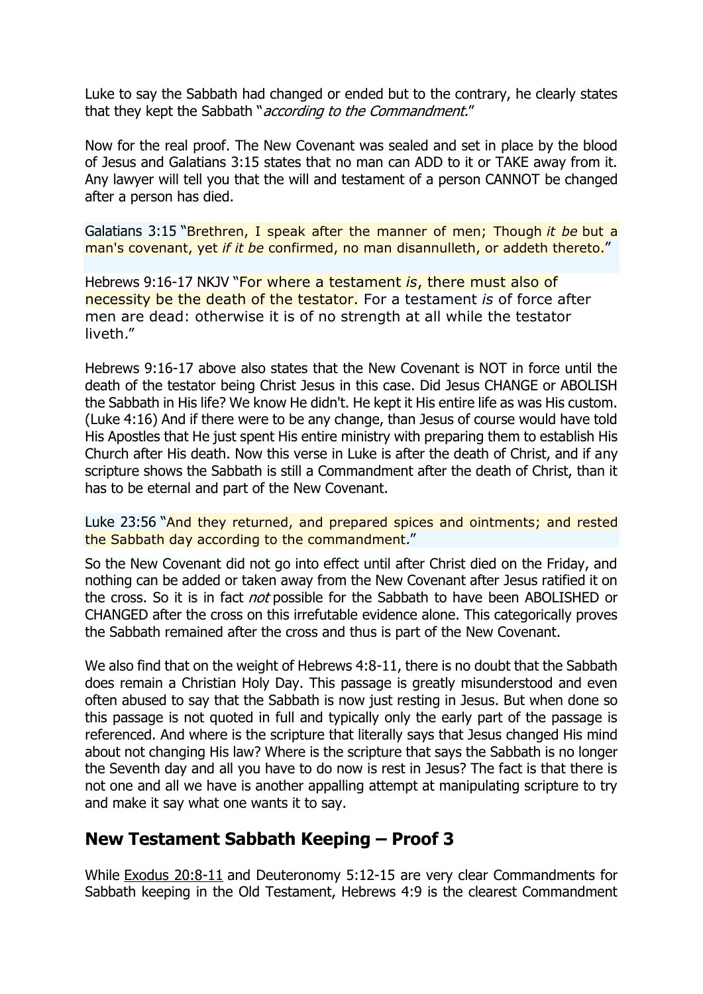Luke to say the Sabbath had changed or ended but to the contrary, he clearly states that they kept the Sabbath "*according to the Commandment."* 

Now for the real proof. The New Covenant was sealed and set in place by the blood of Jesus and Galatians 3:15 states that no man can ADD to it or TAKE away from it. Any lawyer will tell you that the will and testament of a person CANNOT be changed after a person has died.

Galatians 3:15 "Brethren, I speak after the manner of men; Though *it be* but a man's covenant, yet *if it be* confirmed, no man disannulleth, or addeth thereto."

Hebrews 9:16-17 NKJV "For where a testament *is*, there must also of necessity be the death of the testator. For a testament *is* of force after men are dead: otherwise it is of no strength at all while the testator liveth."

Hebrews 9:16-17 above also states that the New Covenant is NOT in force until the death of the testator being Christ Jesus in this case. Did Jesus CHANGE or ABOLISH the Sabbath in His life? We know He didn't. He kept it His entire life as was His custom. (Luke 4:16) And if there were to be any change, than Jesus of course would have told His Apostles that He just spent His entire ministry with preparing them to establish His Church after His death. Now this verse in Luke is after the death of Christ, and if any scripture shows the Sabbath is still a Commandment after the death of Christ, than it has to be eternal and part of the New Covenant.

Luke 23:56 "And they returned, and prepared spices and ointments; and rested the Sabbath day according to the commandment."

So the New Covenant did not go into effect until after Christ died on the Friday, and nothing can be added or taken away from the New Covenant after Jesus ratified it on the cross. So it is in fact *not* possible for the Sabbath to have been ABOLISHED or CHANGED after the cross on this irrefutable evidence alone. This categorically proves the Sabbath remained after the cross and thus is part of the New Covenant.

We also find that on the weight of Hebrews 4:8-11, there is no doubt that the Sabbath does remain a Christian Holy Day. This passage is greatly misunderstood and even often abused to say that the Sabbath is now just resting in Jesus. But when done so this passage is not quoted in full and typically only the early part of the passage is referenced. And where is the scripture that literally says that Jesus changed His mind about not changing His law? Where is the scripture that says the Sabbath is no longer the Seventh day and all you have to do now is rest in Jesus? The fact is that there is not one and all we have is another appalling attempt at manipulating scripture to try and make it say what one wants it to say.

### **New Testament Sabbath Keeping – Proof 3**

While [Exodus 20:8-11](http://www.newtestamentsabbath.com/#1) and Deuteronomy 5:12-15 are very clear Commandments for Sabbath keeping in the Old Testament, Hebrews 4:9 is the clearest Commandment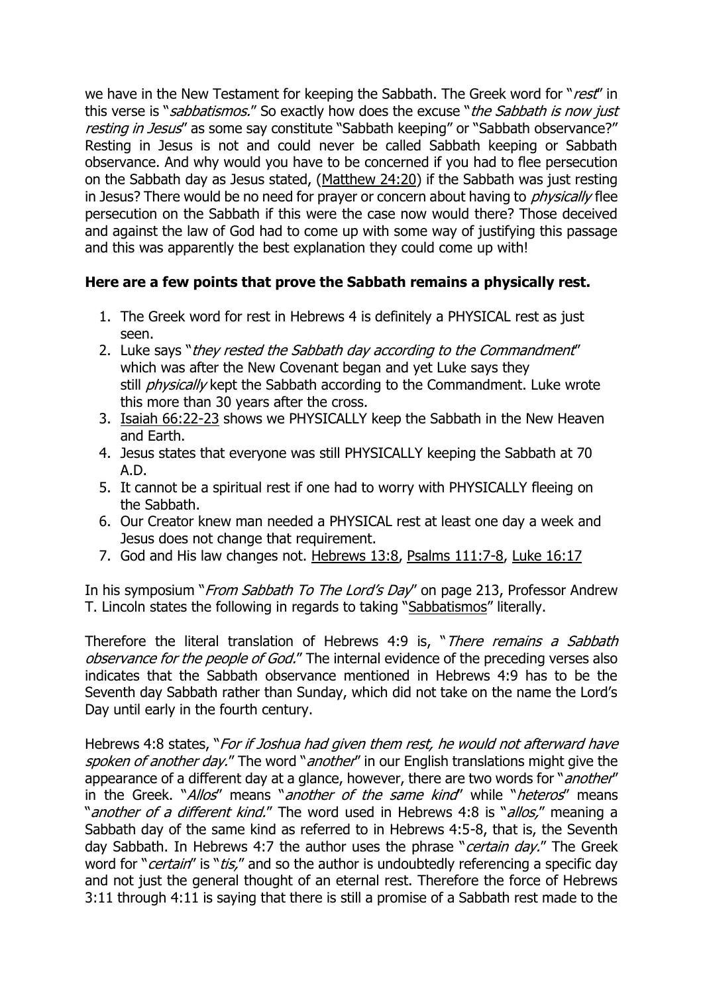we have in the New Testament for keeping the Sabbath. The Greek word for "rest" in this verse is "*sabbatismos.*" So exactly how does the excuse "*the Sabbath is now just* resting in Jesus" as some say constitute "Sabbath keeping" or "Sabbath observance?" Resting in Jesus is not and could never be called Sabbath keeping or Sabbath observance. And why would you have to be concerned if you had to flee persecution on the Sabbath day as Jesus stated, [\(Matthew 24:20\)](http://www.newtestamentsabbath.com/#1) if the Sabbath was just resting in Jesus? There would be no need for prayer or concern about having to *physically* flee persecution on the Sabbath if this were the case now would there? Those deceived and against the law of God had to come up with some way of justifying this passage and this was apparently the best explanation they could come up with!

### **Here are a few points that prove the Sabbath remains a physically rest.**

- 1. The Greek word for rest in Hebrews 4 is definitely a PHYSICAL rest as just seen.
- 2. Luke says "they rested the Sabbath day according to the Commandment" which was after the New Covenant began and yet Luke says they still *physically* kept the Sabbath according to the Commandment. Luke wrote this more than 30 years after the cross.
- 3. [Isaiah 66:22-23](http://www.newtestamentsabbath.com/#1) shows we PHYSICALLY keep the Sabbath in the New Heaven and Earth.
- 4. Jesus states that everyone was still PHYSICALLY keeping the Sabbath at 70 A.D.
- 5. It cannot be a spiritual rest if one had to worry with PHYSICALLY fleeing on the Sabbath.
- 6. Our Creator knew man needed a PHYSICAL rest at least one day a week and Jesus does not change that requirement.
- 7. God and His law changes not. [Hebrews 13:8,](http://www.newtestamentsabbath.com/#1) [Psalms 111:7-8,](http://www.newtestamentsabbath.com/#1) [Luke 16:17](http://www.newtestamentsabbath.com/#1)

In his symposium "*From Sabbath To The Lord's Day*" on page 213, Professor Andrew T. Lincoln states the following in regards to taking "[Sabbatismos](http://www.newtestamentsabbath.com/#1)" literally.

Therefore the literal translation of Hebrews 4:9 is, "There remains a Sabbath observance for the people of God." The internal evidence of the preceding verses also indicates that the Sabbath observance mentioned in Hebrews 4:9 has to be the Seventh day Sabbath rather than Sunday, which did not take on the name the Lord's Day until early in the fourth century.

Hebrews 4:8 states, "*For if Joshua had given them rest, he would not afterward have* spoken of another day." The word "another" in our English translations might give the appearance of a different day at a glance, however, there are two words for "*another"* in the Greek. "Allos" means "another of the same kind" while "heteros" means "another of a different kind." The word used in Hebrews 4:8 is "allos," meaning a Sabbath day of the same kind as referred to in Hebrews 4:5-8, that is, the Seventh day Sabbath. In Hebrews 4:7 the author uses the phrase "*certain day.*" The Greek word for "*certain*" is "*tis,*" and so the author is undoubtedly referencing a specific day and not just the general thought of an eternal rest. Therefore the force of Hebrews 3:11 through 4:11 is saying that there is still a promise of a Sabbath rest made to the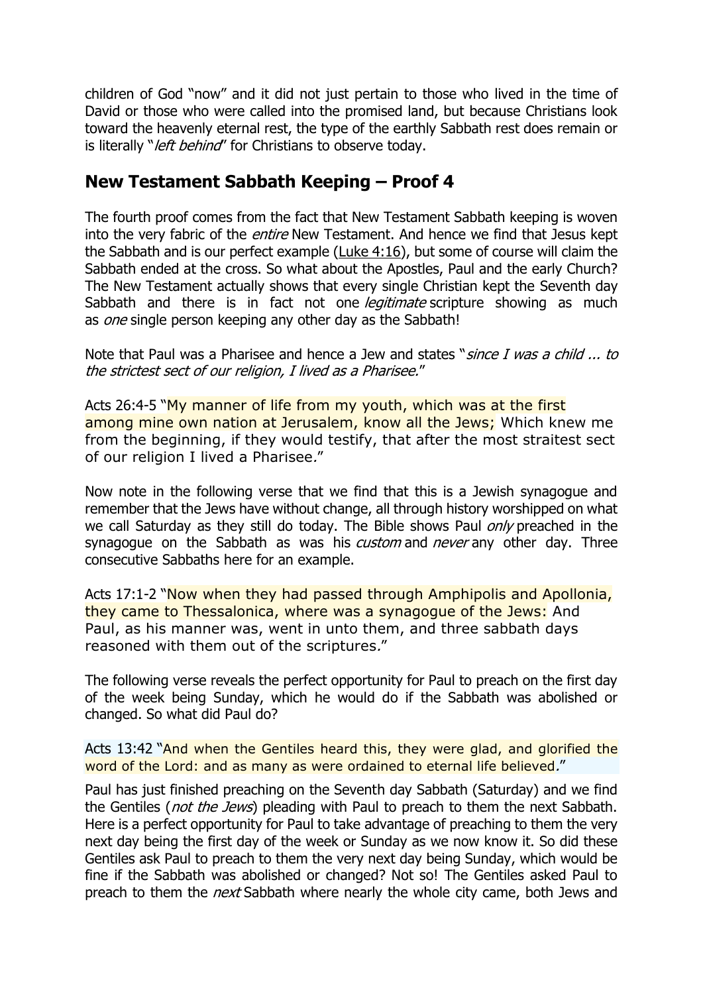children of God "now" and it did not just pertain to those who lived in the time of David or those who were called into the promised land, but because Christians look toward the heavenly eternal rest, the type of the earthly Sabbath rest does remain or is literally "*left behind*" for Christians to observe today.

# **New Testament Sabbath Keeping – Proof 4**

The fourth proof comes from the fact that New Testament Sabbath keeping is woven into the very fabric of the *entire* New Testament. And hence we find that Jesus kept the Sabbath and is our perfect example [\(Luke 4:16\)](http://www.newtestamentsabbath.com/#1), but some of course will claim the Sabbath ended at the cross. So what about the Apostles, Paul and the early Church? The New Testament actually shows that every single Christian kept the Seventh day Sabbath and there is in fact not one *legitimate* scripture showing as much as *one* single person keeping any other day as the Sabbath!

Note that Paul was a Pharisee and hence a Jew and states "*since I was a child ... to* the strictest sect of our religion, I lived as a Pharisee."

Acts 26:4-5 "My manner of life from my youth, which was at the first among mine own nation at Jerusalem, know all the Jews; Which knew me from the beginning, if they would testify, that after the most straitest sect of our religion I lived a Pharisee."

Now note in the following verse that we find that this is a Jewish synagogue and remember that the Jews have without change, all through history worshipped on what we call Saturday as they still do today. The Bible shows Paul *only* preached in the synagogue on the Sabbath as was his *custom* and *never* any other day. Three consecutive Sabbaths here for an example.

Acts 17:1-2 "Now when they had passed through Amphipolis and Apollonia, they came to Thessalonica, where was a synagogue of the Jews: And Paul, as his manner was, went in unto them, and three sabbath days reasoned with them out of the scriptures."

The following verse reveals the perfect opportunity for Paul to preach on the first day of the week being Sunday, which he would do if the Sabbath was abolished or changed. So what did Paul do?

Acts 13:42 "And when the Gentiles heard this, they were glad, and glorified the word of the Lord: and as many as were ordained to eternal life believed."

Paul has just finished preaching on the Seventh day Sabbath (Saturday) and we find the Gentiles (not the Jews) pleading with Paul to preach to them the next Sabbath. Here is a perfect opportunity for Paul to take advantage of preaching to them the very next day being the first day of the week or Sunday as we now know it. So did these Gentiles ask Paul to preach to them the very next day being Sunday, which would be fine if the Sabbath was abolished or changed? Not so! The Gentiles asked Paul to preach to them the *next* Sabbath where nearly the whole city came, both Jews and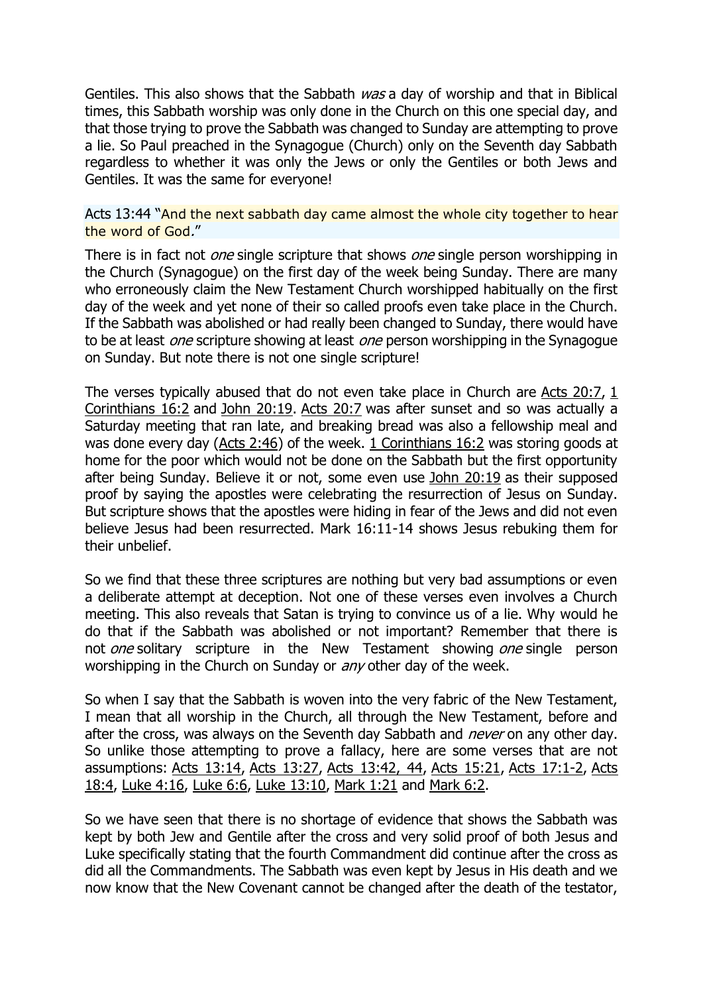Gentiles. This also shows that the Sabbath was a day of worship and that in Biblical times, this Sabbath worship was only done in the Church on this one special day, and that those trying to prove the Sabbath was changed to Sunday are attempting to prove a lie. So Paul preached in the Synagogue (Church) only on the Seventh day Sabbath regardless to whether it was only the Jews or only the Gentiles or both Jews and Gentiles. It was the same for everyone!

#### Acts 13:44 "And the next sabbath day came almost the whole city together to hear the word of God."

There is in fact not *one* single scripture that shows *one* single person worshipping in the Church (Synagogue) on the first day of the week being Sunday. There are many who erroneously claim the New Testament Church worshipped habitually on the first day of the week and yet none of their so called proofs even take place in the Church. If the Sabbath was abolished or had really been changed to Sunday, there would have to be at least *one* scripture showing at least *one* person worshipping in the Synagogue on Sunday. But note there is not one single scripture!

The verses typically abused that do not even take place in Church are Acts  $20:7, 1$ [Corinthians 16:2](http://www.newtestamentsabbath.com/#1) and [John 20:19.](http://www.newtestamentsabbath.com/#1) [Acts 20:7](http://www.newtestamentsabbath.com/#1) was after sunset and so was actually a Saturday meeting that ran late, and breaking bread was also a fellowship meal and was done every day [\(Acts 2:46\)](http://www.newtestamentsabbath.com/#1) of the week. [1 Corinthians 16:2](http://www.newtestamentsabbath.com/#1) was storing goods at home for the poor which would not be done on the Sabbath but the first opportunity after being Sunday. Believe it or not, some even use [John 20:19](http://www.newtestamentsabbath.com/#1) as their supposed proof by saying the apostles were celebrating the resurrection of Jesus on Sunday. But scripture shows that the apostles were hiding in fear of the Jews and did not even believe Jesus had been resurrected. Mark 16:11-14 shows Jesus rebuking them for their unbelief.

So we find that these three scriptures are nothing but very bad assumptions or even a deliberate attempt at deception. Not one of these verses even involves a Church meeting. This also reveals that Satan is trying to convince us of a lie. Why would he do that if the Sabbath was abolished or not important? Remember that there is not *one* solitary scripture in the New Testament showing *one* single person worshipping in the Church on Sunday or *any* other day of the week.

So when I say that the Sabbath is woven into the very fabric of the New Testament, I mean that all worship in the Church, all through the New Testament, before and after the cross, was always on the Seventh day Sabbath and *never* on any other day. So unlike those attempting to prove a fallacy, here are some verses that are not assumptions: [Acts 13:14,](http://www.newtestamentsabbath.com/#1) [Acts 13:27,](http://www.newtestamentsabbath.com/#1) [Acts 13:42, 44,](http://www.newtestamentsabbath.com/#1) [Acts 15:21,](http://www.newtestamentsabbath.com/#1) [Acts 17:1-2,](http://www.newtestamentsabbath.com/#1) [Acts](http://www.newtestamentsabbath.com/#1)  [18:4,](http://www.newtestamentsabbath.com/#1) [Luke 4:16,](http://www.newtestamentsabbath.com/#1) [Luke 6:6,](http://www.newtestamentsabbath.com/#1) [Luke 13:10,](http://www.newtestamentsabbath.com/#1) [Mark 1:21](http://www.newtestamentsabbath.com/#1) and [Mark 6:2.](http://www.newtestamentsabbath.com/#1)

So we have seen that there is no shortage of evidence that shows the Sabbath was kept by both Jew and Gentile after the cross and very solid proof of both Jesus and Luke specifically stating that the fourth Commandment did continue after the cross as did all the Commandments. The Sabbath was even kept by Jesus in His death and we now know that the New Covenant cannot be changed after the death of the testator,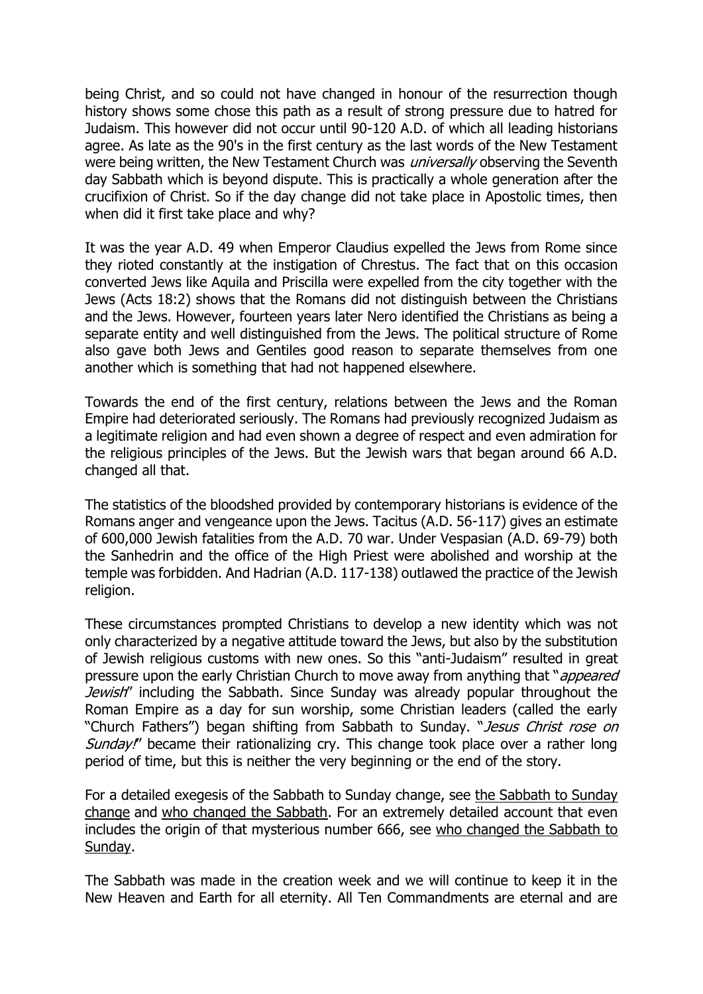being Christ, and so could not have changed in honour of the resurrection though history shows some chose this path as a result of strong pressure due to hatred for Judaism. This however did not occur until 90-120 A.D. of which all leading historians agree. As late as the 90's in the first century as the last words of the New Testament were being written, the New Testament Church was *universally* observing the Seventh day Sabbath which is beyond dispute. This is practically a whole generation after the crucifixion of Christ. So if the day change did not take place in Apostolic times, then when did it first take place and why?

It was the year A.D. 49 when Emperor Claudius expelled the Jews from Rome since they rioted constantly at the instigation of Chrestus. The fact that on this occasion converted Jews like Aquila and Priscilla were expelled from the city together with the Jews (Acts 18:2) shows that the Romans did not distinguish between the Christians and the Jews. However, fourteen years later Nero identified the Christians as being a separate entity and well distinguished from the Jews. The political structure of Rome also gave both Jews and Gentiles good reason to separate themselves from one another which is something that had not happened elsewhere.

Towards the end of the first century, relations between the Jews and the Roman Empire had deteriorated seriously. The Romans had previously recognized Judaism as a legitimate religion and had even shown a degree of respect and even admiration for the religious principles of the Jews. But the Jewish wars that began around 66 A.D. changed all that.

The statistics of the bloodshed provided by contemporary historians is evidence of the Romans anger and vengeance upon the Jews. Tacitus (A.D. 56-117) gives an estimate of 600,000 Jewish fatalities from the A.D. 70 war. Under Vespasian (A.D. 69-79) both the Sanhedrin and the office of the High Priest were abolished and worship at the temple was forbidden. And Hadrian (A.D. 117-138) outlawed the practice of the Jewish religion.

These circumstances prompted Christians to develop a new identity which was not only characterized by a negative attitude toward the Jews, but also by the substitution of Jewish religious customs with new ones. So this "anti-Judaism" resulted in great pressure upon the early Christian Church to move away from anything that "*appeared* Jewish" including the Sabbath. Since Sunday was already popular throughout the Roman Empire as a day for sun worship, some Christian leaders (called the early "Church Fathers") began shifting from Sabbath to Sunday. "Jesus Christ rose on Sunday!" became their rationalizing cry. This change took place over a rather long period of time, but this is neither the very beginning or the end of the story.

For a detailed exegesis of the Sabbath to Sunday change, see [the Sabbath to Sunday](http://www.sabbathtosundaychange.com/)  [change](http://www.sabbathtosundaychange.com/) and [who changed the Sabbath.](http://www.the-ten-commandments.org/sabbathsundaychange.html) For an extremely detailed account that even includes the origin of that mysterious number 666, see who changed the Sabbath to [Sunday.](http://www.whochangedthesabbath.com/)

The Sabbath was made in the creation week and we will continue to keep it in the New Heaven and Earth for all eternity. All Ten Commandments are eternal and are